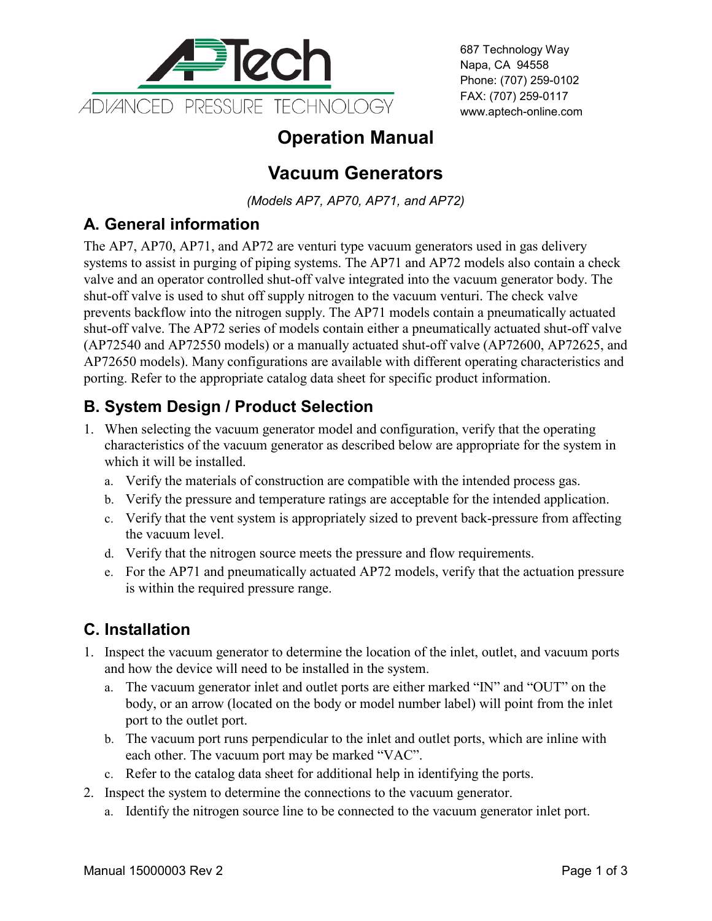

687 Technology Way Napa, CA 94558 Phone: (707) 259-0102 FAX: (707) 259-0117 www.aptech-online.com

# **Operation Manual**

# **Vacuum Generators**

*(Models AP7, AP70, AP71, and AP72)*

### **A. General information**

The AP7, AP70, AP71, and AP72 are venturi type vacuum generators used in gas delivery systems to assist in purging of piping systems. The AP71 and AP72 models also contain a check valve and an operator controlled shut-off valve integrated into the vacuum generator body. The shut-off valve is used to shut off supply nitrogen to the vacuum venturi. The check valve prevents backflow into the nitrogen supply. The AP71 models contain a pneumatically actuated shut-off valve. The AP72 series of models contain either a pneumatically actuated shut-off valve (AP72540 and AP72550 models) or a manually actuated shut-off valve (AP72600, AP72625, and AP72650 models). Many configurations are available with different operating characteristics and porting. Refer to the appropriate catalog data sheet for specific product information.

### **B. System Design / Product Selection**

- 1. When selecting the vacuum generator model and configuration, verify that the operating characteristics of the vacuum generator as described below are appropriate for the system in which it will be installed.
	- a. Verify the materials of construction are compatible with the intended process gas.
	- b. Verify the pressure and temperature ratings are acceptable for the intended application.
	- c. Verify that the vent system is appropriately sized to prevent back-pressure from affecting the vacuum level.
	- d. Verify that the nitrogen source meets the pressure and flow requirements.
	- e. For the AP71 and pneumatically actuated AP72 models, verify that the actuation pressure is within the required pressure range.

## **C. Installation**

- 1. Inspect the vacuum generator to determine the location of the inlet, outlet, and vacuum ports and how the device will need to be installed in the system.
	- a. The vacuum generator inlet and outlet ports are either marked "IN" and "OUT" on the body, or an arrow (located on the body or model number label) will point from the inlet port to the outlet port.
	- b. The vacuum port runs perpendicular to the inlet and outlet ports, which are inline with each other. The vacuum port may be marked "VAC".
	- c. Refer to the catalog data sheet for additional help in identifying the ports.
- 2. Inspect the system to determine the connections to the vacuum generator.
	- a. Identify the nitrogen source line to be connected to the vacuum generator inlet port.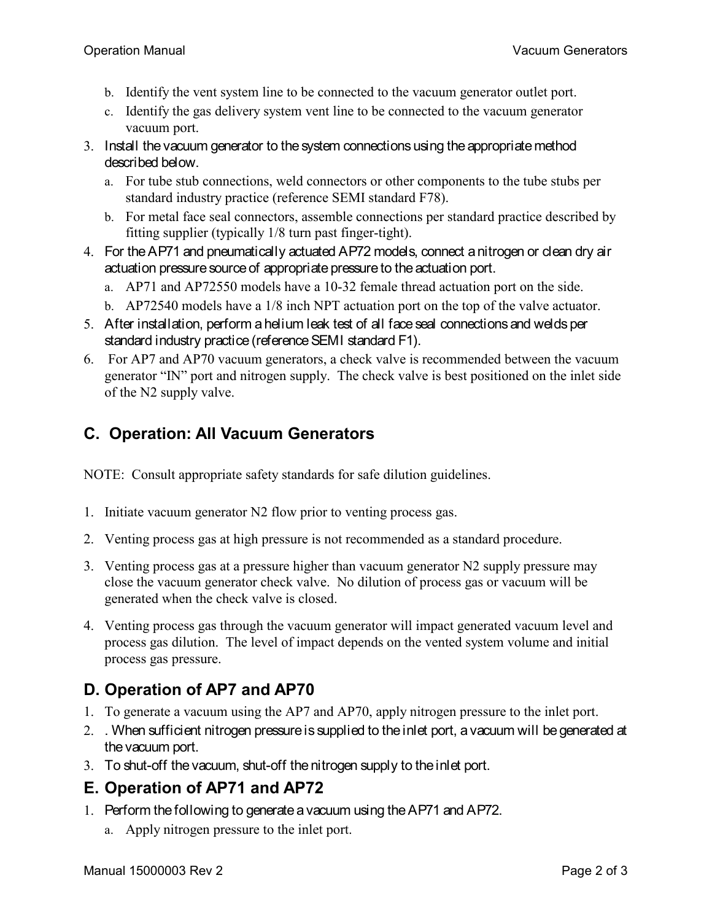- b. Identify the vent system line to be connected to the vacuum generator outlet port.
- c. Identify the gas delivery system vent line to be connected to the vacuum generator vacuum port.
- 3. Install the vacuum generator to the system connections using the appropriate method described below.
	- a. For tube stub connections, weld connectors or other components to the tube stubs per standard industry practice (reference SEMI standard F78).
	- b. For metal face seal connectors, assemble connections per standard practice described by fitting supplier (typically 1/8 turn past finger-tight).
- 4. For the AP71 and pneumatically actuated AP72 models, connect a nitrogen or clean dry air actuation pressure source of appropriate pressure to the actuation port.
	- a. AP71 and AP72550 models have a 10-32 female thread actuation port on the side.
	- b. AP72540 models have a 1/8 inch NPT actuation port on the top of the valve actuator.
- 5. After installation, perform a helium leak test of all face seal connections and welds per standard industry practice (reference SEMI standard F1).
- 6. For AP7 and AP70 vacuum generators, a check valve is recommended between the vacuum generator "IN" port and nitrogen supply. The check valve is best positioned on the inlet side of the N2 supply valve.

### **C. Operation: All Vacuum Generators**

NOTE: Consult appropriate safety standards for safe dilution guidelines.

- 1. Initiate vacuum generator N2 flow prior to venting process gas.
- 2. Venting process gas at high pressure is not recommended as a standard procedure.
- 3. Venting process gas at a pressure higher than vacuum generator N2 supply pressure may close the vacuum generator check valve. No dilution of process gas or vacuum will be generated when the check valve is closed.
- 4. Venting process gas through the vacuum generator will impact generated vacuum level and process gas dilution. The level of impact depends on the vented system volume and initial process gas pressure.

#### **D. Operation of AP7 and AP70**

- 1. To generate a vacuum using the AP7 and AP70, apply nitrogen pressure to the inlet port.
- 2. . When sufficient nitrogen pressure is supplied to the inlet port, a vacuum will be generated at the vacuum port.
- 3. To shut-off the vacuum, shut-off the nitrogen supply to the inlet port.

#### **E. Operation of AP71 and AP72**

- 1. Perform the following to generate a vacuum using the AP71 and AP72.
	- a. Apply nitrogen pressure to the inlet port.